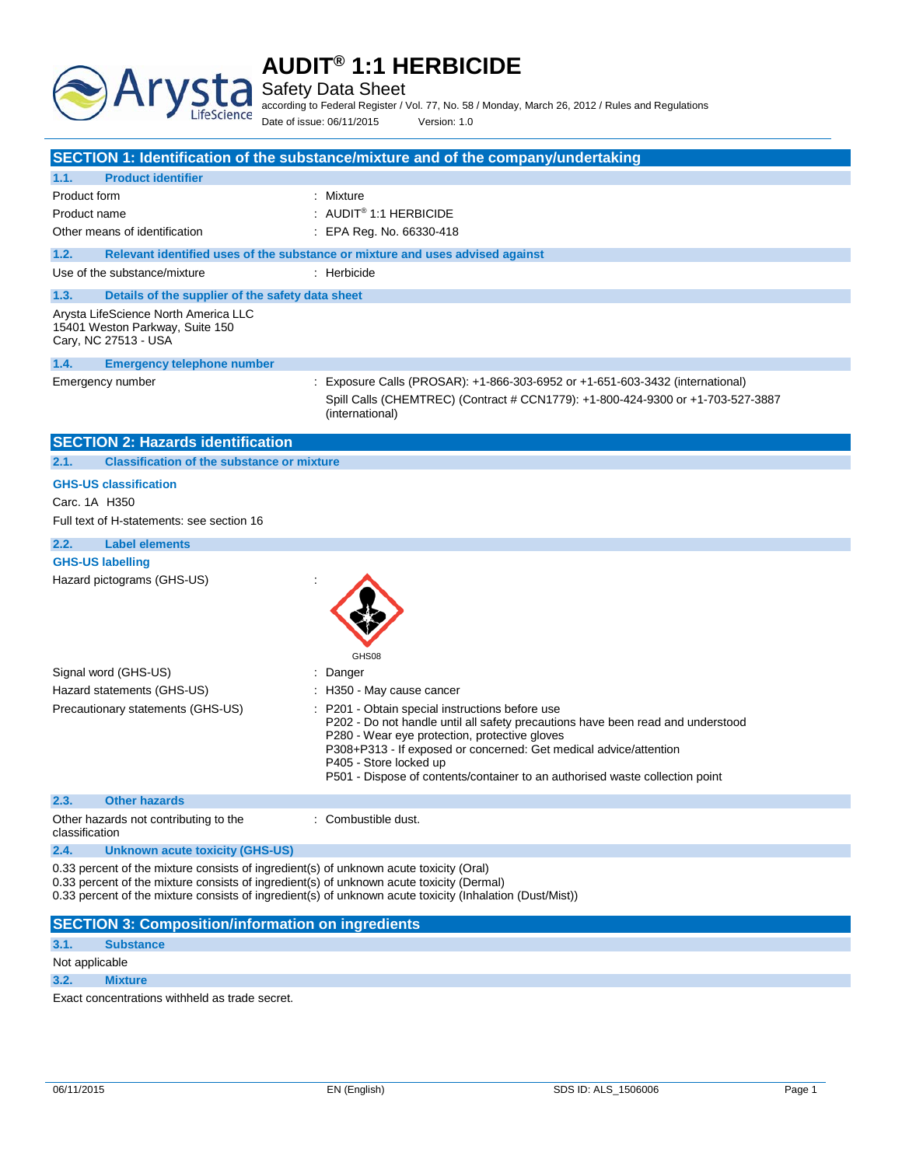

Safety Data Sheet

**Arys:** 

LifeScience

according to Federal Register / Vol. 77, No. 58 / Monday, March 26, 2012 / Rules and Regulations Date of issue: 06/11/2015 Version: 1.0

|                                                                                                                                                                                    | SECTION 1: Identification of the substance/mixture and of the company/undertaking                                                                                                                                                                                                                                                                                  |
|------------------------------------------------------------------------------------------------------------------------------------------------------------------------------------|--------------------------------------------------------------------------------------------------------------------------------------------------------------------------------------------------------------------------------------------------------------------------------------------------------------------------------------------------------------------|
| 1.1.<br><b>Product identifier</b>                                                                                                                                                  |                                                                                                                                                                                                                                                                                                                                                                    |
| Product form<br>Product name<br>Other means of identification                                                                                                                      | : Mixture<br>: AUDIT® 1:1 HERBICIDE<br>$\therefore$ EPA Reg. No. 66330-418                                                                                                                                                                                                                                                                                         |
| 1.2.                                                                                                                                                                               | Relevant identified uses of the substance or mixture and uses advised against                                                                                                                                                                                                                                                                                      |
| Use of the substance/mixture                                                                                                                                                       | : Herbicide                                                                                                                                                                                                                                                                                                                                                        |
| 1.3.<br>Details of the supplier of the safety data sheet                                                                                                                           |                                                                                                                                                                                                                                                                                                                                                                    |
| Arysta LifeScience North America LLC<br>15401 Weston Parkway, Suite 150<br>Cary, NC 27513 - USA                                                                                    |                                                                                                                                                                                                                                                                                                                                                                    |
| 1.4.<br><b>Emergency telephone number</b>                                                                                                                                          |                                                                                                                                                                                                                                                                                                                                                                    |
| Emergency number                                                                                                                                                                   | : Exposure Calls (PROSAR): +1-866-303-6952 or +1-651-603-3432 (international)<br>Spill Calls (CHEMTREC) (Contract # CCN1779): +1-800-424-9300 or +1-703-527-3887<br>(international)                                                                                                                                                                                |
| <b>SECTION 2: Hazards identification</b>                                                                                                                                           |                                                                                                                                                                                                                                                                                                                                                                    |
| <b>Classification of the substance or mixture</b><br>2.1.                                                                                                                          |                                                                                                                                                                                                                                                                                                                                                                    |
| <b>GHS-US classification</b>                                                                                                                                                       |                                                                                                                                                                                                                                                                                                                                                                    |
| Carc. 1A H350                                                                                                                                                                      |                                                                                                                                                                                                                                                                                                                                                                    |
| Full text of H-statements: see section 16                                                                                                                                          |                                                                                                                                                                                                                                                                                                                                                                    |
| 2.2.<br><b>Label elements</b>                                                                                                                                                      |                                                                                                                                                                                                                                                                                                                                                                    |
| <b>GHS-US labelling</b>                                                                                                                                                            |                                                                                                                                                                                                                                                                                                                                                                    |
| Hazard pictograms (GHS-US)                                                                                                                                                         | GHS08                                                                                                                                                                                                                                                                                                                                                              |
| Signal word (GHS-US)                                                                                                                                                               | : Danger                                                                                                                                                                                                                                                                                                                                                           |
| Hazard statements (GHS-US)                                                                                                                                                         | : H350 - May cause cancer                                                                                                                                                                                                                                                                                                                                          |
| Precautionary statements (GHS-US)                                                                                                                                                  | : P201 - Obtain special instructions before use<br>P202 - Do not handle until all safety precautions have been read and understood<br>P280 - Wear eye protection, protective gloves<br>P308+P313 - If exposed or concerned: Get medical advice/attention<br>P405 - Store locked up<br>P501 - Dispose of contents/container to an authorised waste collection point |
| 2.3.<br><b>Other hazards</b>                                                                                                                                                       |                                                                                                                                                                                                                                                                                                                                                                    |
| Other hazards not contributing to the<br>classification                                                                                                                            | : Combustible dust.                                                                                                                                                                                                                                                                                                                                                |
| <b>Unknown acute toxicity (GHS-US)</b><br>2.4.                                                                                                                                     |                                                                                                                                                                                                                                                                                                                                                                    |
| 0.33 percent of the mixture consists of ingredient(s) of unknown acute toxicity (Oral)<br>0.33 percent of the mixture consists of ingredient(s) of unknown acute toxicity (Dermal) | 0.33 percent of the mixture consists of ingredient(s) of unknown acute toxicity (Inhalation (Dust/Mist))                                                                                                                                                                                                                                                           |
| <b>SECTION 3: Composition/information on ingredients</b>                                                                                                                           |                                                                                                                                                                                                                                                                                                                                                                    |

## **3.1. Substance**

Not applicable

**3.2. Mixture**

Exact concentrations withheld as trade secret.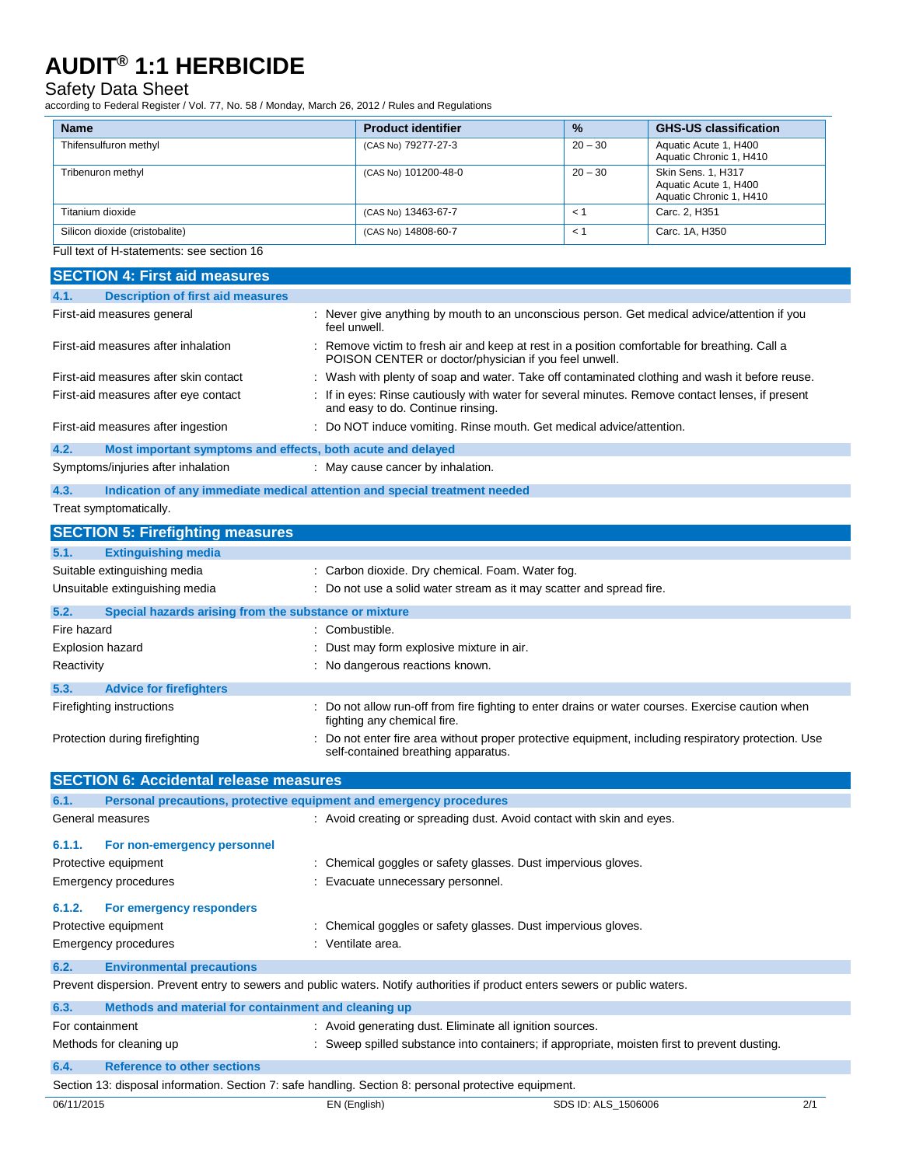## Safety Data Sheet

according to Federal Register / Vol. 77, No. 58 / Monday, March 26, 2012 / Rules and Regulations

| <b>Name</b>                    | <b>Product identifier</b> | $\frac{9}{6}$ | <b>GHS-US classification</b>                                                  |
|--------------------------------|---------------------------|---------------|-------------------------------------------------------------------------------|
| Thifensulfuron methyl          | (CAS No) 79277-27-3       | $20 - 30$     | Aquatic Acute 1, H400<br>Aquatic Chronic 1, H410                              |
| Tribenuron methyl              | (CAS No) 101200-48-0      | $20 - 30$     | <b>Skin Sens. 1. H317</b><br>Aquatic Acute 1, H400<br>Aquatic Chronic 1, H410 |
| Titanium dioxide               | (CAS No) 13463-67-7       | $\leq$ 1      | Carc. 2. H351                                                                 |
| Silicon dioxide (cristobalite) | (CAS No) 14808-60-7       | $\prec$ '     | Carc. 1A, H350                                                                |

## Full text of H-statements: see section 16

| <b>SECTION 4: First aid measures</b>                                                                  |                                                                                                                                                      |  |
|-------------------------------------------------------------------------------------------------------|------------------------------------------------------------------------------------------------------------------------------------------------------|--|
| <b>Description of first aid measures</b><br>4.1.                                                      |                                                                                                                                                      |  |
| First-aid measures general                                                                            | : Never give anything by mouth to an unconscious person. Get medical advice/attention if you<br>feel unwell.                                         |  |
| First-aid measures after inhalation                                                                   | Remove victim to fresh air and keep at rest in a position comfortable for breathing. Call a<br>POISON CENTER or doctor/physician if you feel unwell. |  |
| First-aid measures after skin contact                                                                 | Wash with plenty of soap and water. Take off contaminated clothing and wash it before reuse.                                                         |  |
| First-aid measures after eye contact                                                                  | If in eyes: Rinse cautiously with water for several minutes. Remove contact lenses, if present<br>and easy to do. Continue rinsing.                  |  |
| First-aid measures after ingestion                                                                    | Do NOT induce vomiting. Rinse mouth. Get medical advice/attention.                                                                                   |  |
| Most important symptoms and effects, both acute and delayed<br>4.2.                                   |                                                                                                                                                      |  |
| Symptoms/injuries after inhalation                                                                    | : May cause cancer by inhalation.                                                                                                                    |  |
| 4.3.                                                                                                  | Indication of any immediate medical attention and special treatment needed                                                                           |  |
| Treat symptomatically.                                                                                |                                                                                                                                                      |  |
| <b>SECTION 5: Firefighting measures</b>                                                               |                                                                                                                                                      |  |
| <b>Extinguishing media</b><br>5.1.                                                                    |                                                                                                                                                      |  |
| Suitable extinguishing media                                                                          | : Carbon dioxide. Dry chemical. Foam. Water fog.                                                                                                     |  |
| Unsuitable extinguishing media                                                                        | : Do not use a solid water stream as it may scatter and spread fire.                                                                                 |  |
| 5.2.<br>Special hazards arising from the substance or mixture                                         |                                                                                                                                                      |  |
| Fire hazard                                                                                           | : Combustible.                                                                                                                                       |  |
| <b>Explosion hazard</b>                                                                               | Dust may form explosive mixture in air.                                                                                                              |  |
| Reactivity                                                                                            | No dangerous reactions known.                                                                                                                        |  |
| 5.3.<br><b>Advice for firefighters</b>                                                                |                                                                                                                                                      |  |
| Firefighting instructions                                                                             | : Do not allow run-off from fire fighting to enter drains or water courses. Exercise caution when<br>fighting any chemical fire.                     |  |
| Protection during firefighting                                                                        | Do not enter fire area without proper protective equipment, including respiratory protection. Use<br>self-contained breathing apparatus.             |  |
| <b>SECTION 6: Accidental release measures</b>                                                         |                                                                                                                                                      |  |
| Personal precautions, protective equipment and emergency procedures<br>6.1.                           |                                                                                                                                                      |  |
| General measures                                                                                      | : Avoid creating or spreading dust. Avoid contact with skin and eyes.                                                                                |  |
|                                                                                                       |                                                                                                                                                      |  |
| 6.1.1.<br>For non-emergency personnel                                                                 |                                                                                                                                                      |  |
| Protective equipment                                                                                  | : Chemical goggles or safety glasses. Dust impervious gloves.                                                                                        |  |
| <b>Emergency procedures</b>                                                                           | Evacuate unnecessary personnel.                                                                                                                      |  |
| 6.1.2.<br>For emergency responders                                                                    |                                                                                                                                                      |  |
| Protective equipment                                                                                  | Chemical goggles or safety glasses. Dust impervious gloves.                                                                                          |  |
| <b>Emergency procedures</b>                                                                           | : Ventilate area.                                                                                                                                    |  |
| 6.2.<br><b>Environmental precautions</b>                                                              |                                                                                                                                                      |  |
|                                                                                                       | Prevent dispersion. Prevent entry to sewers and public waters. Notify authorities if product enters sewers or public waters.                         |  |
| Methods and material for containment and cleaning up<br>6.3.                                          |                                                                                                                                                      |  |
| For containment                                                                                       | : Avoid generating dust. Eliminate all ignition sources.                                                                                             |  |
| Methods for cleaning up                                                                               | : Sweep spilled substance into containers; if appropriate, moisten first to prevent dusting.                                                         |  |
| 6.4.<br><b>Reference to other sections</b>                                                            |                                                                                                                                                      |  |
| Section 13: disposal information. Section 7: safe handling. Section 8: personal protective equipment. |                                                                                                                                                      |  |
| 06/11/2015                                                                                            | EN (English)<br>2/1<br>SDS ID: ALS_1506006                                                                                                           |  |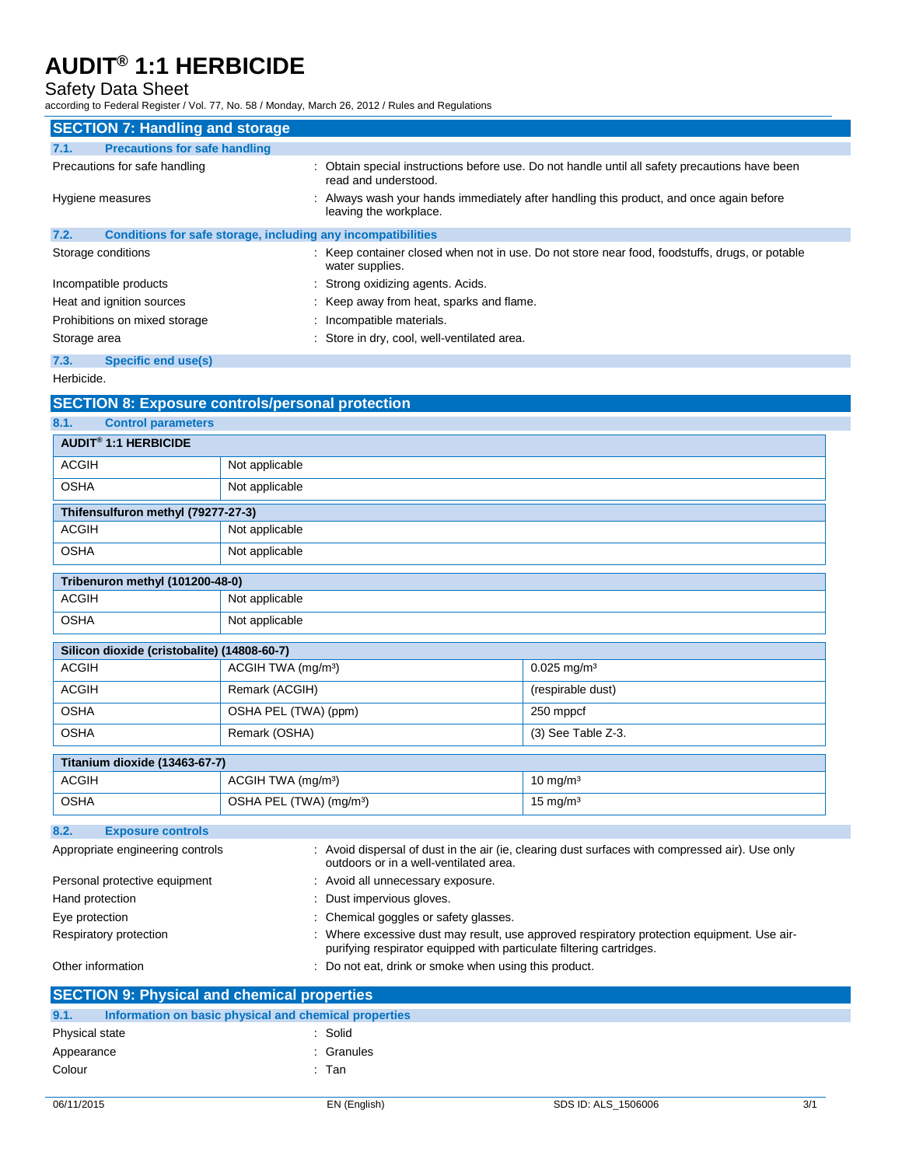## Safety Data Sheet

according to Federal Register / Vol. 77, No. 58 / Monday, March 26, 2012 / Rules and Regulations

| <b>SECTION 7: Handling and storage</b>                               |                                                                                                                        |
|----------------------------------------------------------------------|------------------------------------------------------------------------------------------------------------------------|
| <b>Precautions for safe handling</b><br>7.1.                         |                                                                                                                        |
| Precautions for safe handling                                        | : Obtain special instructions before use. Do not handle until all safety precautions have been<br>read and understood. |
| Hygiene measures                                                     | : Always wash your hands immediately after handling this product, and once again before<br>leaving the workplace.      |
| Conditions for safe storage, including any incompatibilities<br>7.2. |                                                                                                                        |
| Storage conditions                                                   | : Keep container closed when not in use. Do not store near food, foodstuffs, drugs, or potable<br>water supplies.      |
| Incompatible products                                                | : Strong oxidizing agents. Acids.                                                                                      |
| Heat and ignition sources                                            | : Keep away from heat, sparks and flame.                                                                               |
| Prohibitions on mixed storage                                        | : Incompatible materials.                                                                                              |
| Storage area                                                         | : Store in dry, cool, well-ventilated area.                                                                            |
| 7.3.<br><b>Specific end use(s)</b>                                   |                                                                                                                        |

Herbicide.

|                                             | <b>SECTION 8: Exposure controls/personal protection</b>              |                                                                                                 |
|---------------------------------------------|----------------------------------------------------------------------|-------------------------------------------------------------------------------------------------|
| 8.1.<br><b>Control parameters</b>           |                                                                      |                                                                                                 |
| <b>AUDIT<sup>®</sup> 1:1 HERBICIDE</b>      |                                                                      |                                                                                                 |
| <b>ACGIH</b>                                | Not applicable                                                       |                                                                                                 |
| <b>OSHA</b>                                 | Not applicable                                                       |                                                                                                 |
| Thifensulfuron methyl (79277-27-3)          |                                                                      |                                                                                                 |
| <b>ACGIH</b>                                | Not applicable                                                       |                                                                                                 |
| <b>OSHA</b>                                 | Not applicable                                                       |                                                                                                 |
| Tribenuron methyl (101200-48-0)             |                                                                      |                                                                                                 |
| <b>ACGIH</b>                                | Not applicable                                                       |                                                                                                 |
| <b>OSHA</b>                                 | Not applicable                                                       |                                                                                                 |
| Silicon dioxide (cristobalite) (14808-60-7) |                                                                      |                                                                                                 |
| <b>ACGIH</b>                                | ACGIH TWA (mg/m <sup>3</sup> )<br>$0.025$ mg/m <sup>3</sup>          |                                                                                                 |
| <b>ACGIH</b>                                | Remark (ACGIH)                                                       | (respirable dust)                                                                               |
| <b>OSHA</b>                                 | OSHA PEL (TWA) (ppm)                                                 | 250 mppcf                                                                                       |
| <b>OSHA</b>                                 | Remark (OSHA)                                                        | (3) See Table Z-3.                                                                              |
| Titanium dioxide (13463-67-7)               |                                                                      |                                                                                                 |
| <b>ACGIH</b>                                | ACGIH TWA (mg/m <sup>3</sup> )                                       | $10 \text{ mg/m}^3$                                                                             |
| <b>OSHA</b>                                 | OSHA PEL (TWA) (mg/m <sup>3</sup> )                                  | $15 \text{ mg/m}^3$                                                                             |
| 8.2.<br><b>Exposure controls</b>            |                                                                      |                                                                                                 |
| Appropriate engineering controls            | outdoors or in a well-ventilated area.                               | : Avoid dispersal of dust in the air (ie, clearing dust surfaces with compressed air). Use only |
| Personal protective equipment               | : Avoid all unnecessary exposure.                                    |                                                                                                 |
| Hand protection                             | Dust impervious gloves.                                              |                                                                                                 |
| Eye protection                              | : Chemical goggles or safety glasses.                                |                                                                                                 |
| Respiratory protection                      | purifying respirator equipped with particulate filtering cartridges. | Where excessive dust may result, use approved respiratory protection equipment. Use air-        |
| Other information                           | : Do not eat, drink or smoke when using this product.                |                                                                                                 |

| <b>SECTION 9: Physical and chemical properties</b> |                                                       |  |
|----------------------------------------------------|-------------------------------------------------------|--|
| 9.1.                                               | Information on basic physical and chemical properties |  |
| Physical state                                     | : Solid                                               |  |
| Appearance                                         | : Granules                                            |  |
| Colour                                             | : Tan                                                 |  |
|                                                    |                                                       |  |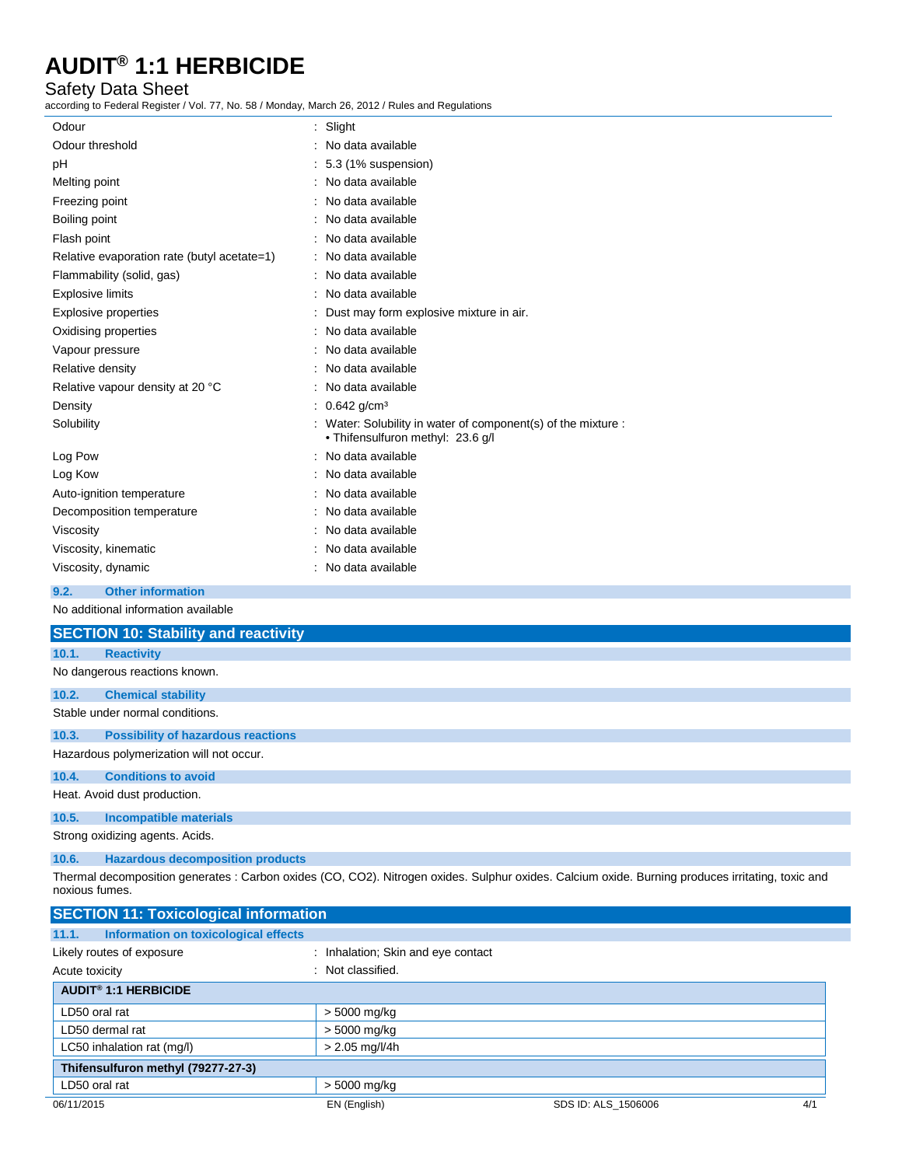## Safety Data Sheet

according to Federal Register / Vol. 77, No. 58 / Monday, March 26, 2012 / Rules and Regulations

| Odour                                       | : Slight                                                                                         |
|---------------------------------------------|--------------------------------------------------------------------------------------------------|
| Odour threshold                             | No data available                                                                                |
| pH                                          | 5.3 (1% suspension)                                                                              |
| Melting point                               | No data available                                                                                |
| Freezing point                              | No data available                                                                                |
| Boiling point                               | No data available                                                                                |
| Flash point                                 | No data available                                                                                |
| Relative evaporation rate (butyl acetate=1) | No data available                                                                                |
| Flammability (solid, gas)                   | No data available                                                                                |
| <b>Explosive limits</b>                     | No data available                                                                                |
| <b>Explosive properties</b>                 | Dust may form explosive mixture in air.                                                          |
| Oxidising properties                        | No data available                                                                                |
| Vapour pressure                             | No data available                                                                                |
| Relative density                            | No data available                                                                                |
| Relative vapour density at 20 °C            | No data available                                                                                |
| Density                                     | : $0.642$ g/cm <sup>3</sup>                                                                      |
| Solubility                                  | Water: Solubility in water of component(s) of the mixture :<br>• Thifensulfuron methyl: 23.6 g/l |
| Log Pow                                     | No data available                                                                                |
| Log Kow                                     | No data available                                                                                |
| Auto-ignition temperature                   | No data available                                                                                |
| Decomposition temperature                   | No data available                                                                                |
| Viscosity                                   | No data available                                                                                |
| Viscosity, kinematic                        | No data available                                                                                |
| Viscosity, dynamic                          | No data available                                                                                |
| <b>Other information</b><br>9.2.            |                                                                                                  |
| No additional information available         |                                                                                                  |
| <b>SECTION 10: Stability and reactivity</b> |                                                                                                  |
| 10.1.<br><b>Reactivity</b>                  |                                                                                                  |
| No dangerous reactions known.               |                                                                                                  |
| 10.2.<br><b>Chemical stability</b>          |                                                                                                  |
| Stable under normal conditions.             |                                                                                                  |
|                                             |                                                                                                  |

## **10.3. Possibility of hazardous reactions**

Hazardous polymerization will not occur.

**10.4. Conditions to avoid**

Heat. Avoid dust production.

## **10.5. Incompatible materials**

Strong oxidizing agents. Acids.

**10.6. Hazardous decomposition products**

Thermal decomposition generates : Carbon oxides (CO, CO2). Nitrogen oxides. Sulphur oxides. Calcium oxide. Burning produces irritating, toxic and noxious fumes.

| <b>SECTION 11: Toxicological information</b>  |                                    |                     |     |
|-----------------------------------------------|------------------------------------|---------------------|-----|
| Information on toxicological effects<br>11.1. |                                    |                     |     |
| Likely routes of exposure                     | : Inhalation; Skin and eye contact |                     |     |
| Acute toxicity                                | : Not classified.                  |                     |     |
| <b>AUDIT<sup>®</sup> 1:1 HERBICIDE</b>        |                                    |                     |     |
| LD50 oral rat                                 | > 5000 mg/kg                       |                     |     |
| LD50 dermal rat                               | > 5000 mg/kg                       |                     |     |
| LC50 inhalation rat (mg/l)                    | $> 2.05$ mg/l/4h                   |                     |     |
| Thifensulfuron methyl (79277-27-3)            |                                    |                     |     |
| LD50 oral rat                                 | > 5000 mg/kg                       |                     |     |
| 06/11/2015                                    | EN (English)                       | SDS ID: ALS 1506006 | 4/1 |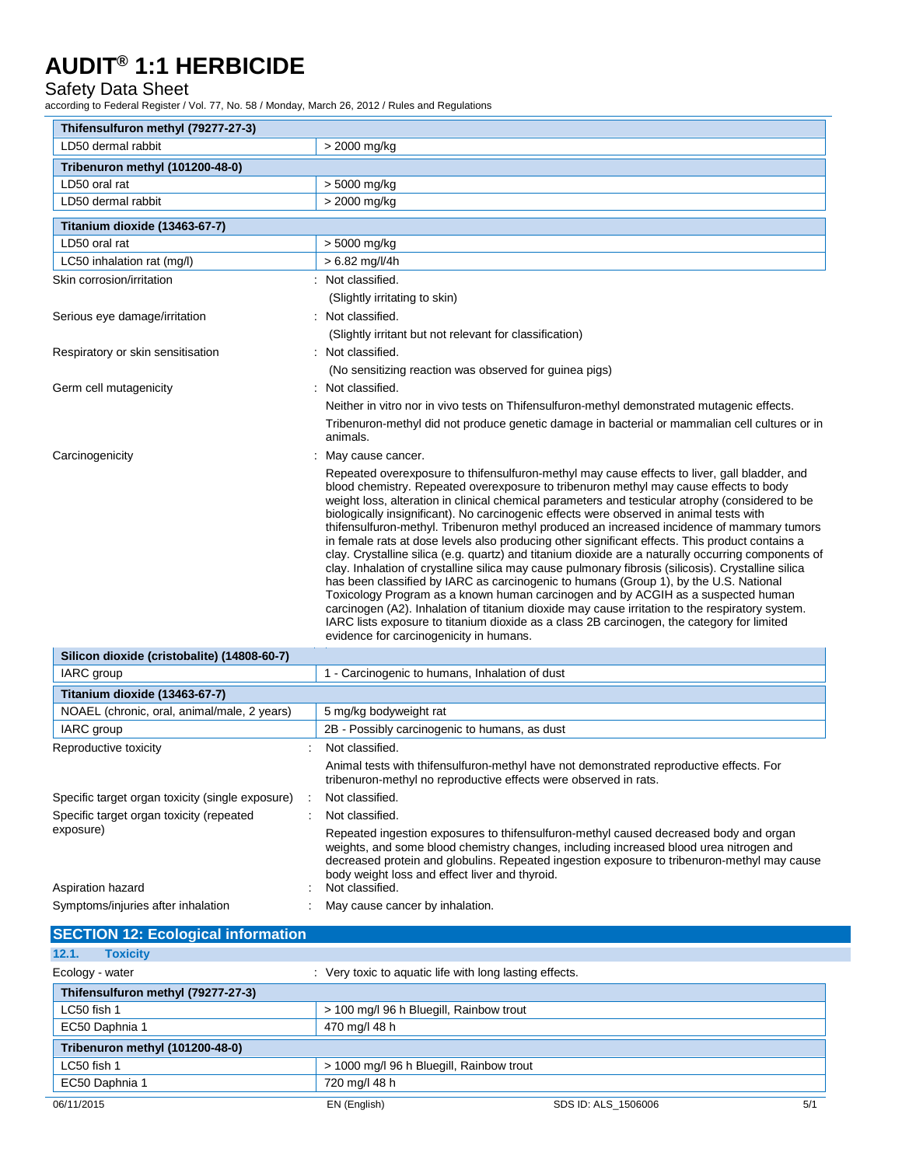## Safety Data Sheet

according to Federal Register / Vol. 77, No. 58 / Monday, March 26, 2012 / Rules and Regulations

| Thifensulfuron methyl (79277-27-3)<br>LD50 dermal rabbit | > 2000 mg/kg                                                                                                                                                                                                                                                                                                                                                                                                                                                                                                                                                                                                                                                                                                                                                                                                                                                                                                                                                                                                                                                                                                                                                                                                                 |  |
|----------------------------------------------------------|------------------------------------------------------------------------------------------------------------------------------------------------------------------------------------------------------------------------------------------------------------------------------------------------------------------------------------------------------------------------------------------------------------------------------------------------------------------------------------------------------------------------------------------------------------------------------------------------------------------------------------------------------------------------------------------------------------------------------------------------------------------------------------------------------------------------------------------------------------------------------------------------------------------------------------------------------------------------------------------------------------------------------------------------------------------------------------------------------------------------------------------------------------------------------------------------------------------------------|--|
|                                                          |                                                                                                                                                                                                                                                                                                                                                                                                                                                                                                                                                                                                                                                                                                                                                                                                                                                                                                                                                                                                                                                                                                                                                                                                                              |  |
| Tribenuron methyl (101200-48-0)<br>LD50 oral rat         |                                                                                                                                                                                                                                                                                                                                                                                                                                                                                                                                                                                                                                                                                                                                                                                                                                                                                                                                                                                                                                                                                                                                                                                                                              |  |
| LD50 dermal rabbit                                       | > 5000 mg/kg                                                                                                                                                                                                                                                                                                                                                                                                                                                                                                                                                                                                                                                                                                                                                                                                                                                                                                                                                                                                                                                                                                                                                                                                                 |  |
|                                                          | > 2000 mg/kg                                                                                                                                                                                                                                                                                                                                                                                                                                                                                                                                                                                                                                                                                                                                                                                                                                                                                                                                                                                                                                                                                                                                                                                                                 |  |
| Titanium dioxide (13463-67-7)                            |                                                                                                                                                                                                                                                                                                                                                                                                                                                                                                                                                                                                                                                                                                                                                                                                                                                                                                                                                                                                                                                                                                                                                                                                                              |  |
| LD50 oral rat                                            | > 5000 mg/kg                                                                                                                                                                                                                                                                                                                                                                                                                                                                                                                                                                                                                                                                                                                                                                                                                                                                                                                                                                                                                                                                                                                                                                                                                 |  |
| LC50 inhalation rat (mg/l)                               | $> 6.82$ mg/l/4h                                                                                                                                                                                                                                                                                                                                                                                                                                                                                                                                                                                                                                                                                                                                                                                                                                                                                                                                                                                                                                                                                                                                                                                                             |  |
| Skin corrosion/irritation                                | Not classified.                                                                                                                                                                                                                                                                                                                                                                                                                                                                                                                                                                                                                                                                                                                                                                                                                                                                                                                                                                                                                                                                                                                                                                                                              |  |
|                                                          | (Slightly irritating to skin)                                                                                                                                                                                                                                                                                                                                                                                                                                                                                                                                                                                                                                                                                                                                                                                                                                                                                                                                                                                                                                                                                                                                                                                                |  |
| Serious eye damage/irritation                            | : Not classified.                                                                                                                                                                                                                                                                                                                                                                                                                                                                                                                                                                                                                                                                                                                                                                                                                                                                                                                                                                                                                                                                                                                                                                                                            |  |
|                                                          | (Slightly irritant but not relevant for classification)                                                                                                                                                                                                                                                                                                                                                                                                                                                                                                                                                                                                                                                                                                                                                                                                                                                                                                                                                                                                                                                                                                                                                                      |  |
| Respiratory or skin sensitisation                        | : Not classified.                                                                                                                                                                                                                                                                                                                                                                                                                                                                                                                                                                                                                                                                                                                                                                                                                                                                                                                                                                                                                                                                                                                                                                                                            |  |
|                                                          | (No sensitizing reaction was observed for guinea pigs)                                                                                                                                                                                                                                                                                                                                                                                                                                                                                                                                                                                                                                                                                                                                                                                                                                                                                                                                                                                                                                                                                                                                                                       |  |
| Germ cell mutagenicity                                   | : Not classified.                                                                                                                                                                                                                                                                                                                                                                                                                                                                                                                                                                                                                                                                                                                                                                                                                                                                                                                                                                                                                                                                                                                                                                                                            |  |
|                                                          | Neither in vitro nor in vivo tests on Thifensulfuron-methyl demonstrated mutagenic effects.                                                                                                                                                                                                                                                                                                                                                                                                                                                                                                                                                                                                                                                                                                                                                                                                                                                                                                                                                                                                                                                                                                                                  |  |
|                                                          | Tribenuron-methyl did not produce genetic damage in bacterial or mammalian cell cultures or in<br>animals.                                                                                                                                                                                                                                                                                                                                                                                                                                                                                                                                                                                                                                                                                                                                                                                                                                                                                                                                                                                                                                                                                                                   |  |
| Carcinogenicity                                          | May cause cancer.                                                                                                                                                                                                                                                                                                                                                                                                                                                                                                                                                                                                                                                                                                                                                                                                                                                                                                                                                                                                                                                                                                                                                                                                            |  |
|                                                          | Repeated overexposure to thifensulfuron-methyl may cause effects to liver, gall bladder, and<br>blood chemistry. Repeated overexposure to tribenuron methyl may cause effects to body<br>weight loss, alteration in clinical chemical parameters and testicular atrophy (considered to be<br>biologically insignificant). No carcinogenic effects were observed in animal tests with<br>thifensulfuron-methyl. Tribenuron methyl produced an increased incidence of mammary tumors<br>in female rats at dose levels also producing other significant effects. This product contains a<br>clay. Crystalline silica (e.g. quartz) and titanium dioxide are a naturally occurring components of<br>clay. Inhalation of crystalline silica may cause pulmonary fibrosis (silicosis). Crystalline silica<br>has been classified by IARC as carcinogenic to humans (Group 1), by the U.S. National<br>Toxicology Program as a known human carcinogen and by ACGIH as a suspected human<br>carcinogen (A2). Inhalation of titanium dioxide may cause irritation to the respiratory system.<br>IARC lists exposure to titanium dioxide as a class 2B carcinogen, the category for limited<br>evidence for carcinogenicity in humans. |  |
| Silicon dioxide (cristobalite) (14808-60-7)              |                                                                                                                                                                                                                                                                                                                                                                                                                                                                                                                                                                                                                                                                                                                                                                                                                                                                                                                                                                                                                                                                                                                                                                                                                              |  |
| IARC group                                               | 1 - Carcinogenic to humans, Inhalation of dust                                                                                                                                                                                                                                                                                                                                                                                                                                                                                                                                                                                                                                                                                                                                                                                                                                                                                                                                                                                                                                                                                                                                                                               |  |
| Titanium dioxide (13463-67-7)                            |                                                                                                                                                                                                                                                                                                                                                                                                                                                                                                                                                                                                                                                                                                                                                                                                                                                                                                                                                                                                                                                                                                                                                                                                                              |  |
| NOAEL (chronic, oral, animal/male, 2 years)              | 5 mg/kg bodyweight rat                                                                                                                                                                                                                                                                                                                                                                                                                                                                                                                                                                                                                                                                                                                                                                                                                                                                                                                                                                                                                                                                                                                                                                                                       |  |
| IARC group                                               | 2B - Possibly carcinogenic to humans, as dust                                                                                                                                                                                                                                                                                                                                                                                                                                                                                                                                                                                                                                                                                                                                                                                                                                                                                                                                                                                                                                                                                                                                                                                |  |
| Reproductive toxicity                                    | Not classified.                                                                                                                                                                                                                                                                                                                                                                                                                                                                                                                                                                                                                                                                                                                                                                                                                                                                                                                                                                                                                                                                                                                                                                                                              |  |
|                                                          | Animal tests with thifensulfuron-methyl have not demonstrated reproductive effects. For<br>tribenuron-methyl no reproductive effects were observed in rats.                                                                                                                                                                                                                                                                                                                                                                                                                                                                                                                                                                                                                                                                                                                                                                                                                                                                                                                                                                                                                                                                  |  |
| Specific target organ toxicity (single exposure)         | Not classified.                                                                                                                                                                                                                                                                                                                                                                                                                                                                                                                                                                                                                                                                                                                                                                                                                                                                                                                                                                                                                                                                                                                                                                                                              |  |
| Specific target organ toxicity (repeated                 | Not classified.                                                                                                                                                                                                                                                                                                                                                                                                                                                                                                                                                                                                                                                                                                                                                                                                                                                                                                                                                                                                                                                                                                                                                                                                              |  |
| exposure)<br>Aspiration hazard                           | Repeated ingestion exposures to thifensulfuron-methyl caused decreased body and organ<br>weights, and some blood chemistry changes, including increased blood urea nitrogen and<br>decreased protein and globulins. Repeated ingestion exposure to tribenuron-methyl may cause<br>body weight loss and effect liver and thyroid.<br>Not classified.                                                                                                                                                                                                                                                                                                                                                                                                                                                                                                                                                                                                                                                                                                                                                                                                                                                                          |  |
| Symptoms/injuries after inhalation                       |                                                                                                                                                                                                                                                                                                                                                                                                                                                                                                                                                                                                                                                                                                                                                                                                                                                                                                                                                                                                                                                                                                                                                                                                                              |  |
|                                                          | May cause cancer by inhalation.                                                                                                                                                                                                                                                                                                                                                                                                                                                                                                                                                                                                                                                                                                                                                                                                                                                                                                                                                                                                                                                                                                                                                                                              |  |
| <b>SECTION 12: Ecological information</b>                |                                                                                                                                                                                                                                                                                                                                                                                                                                                                                                                                                                                                                                                                                                                                                                                                                                                                                                                                                                                                                                                                                                                                                                                                                              |  |

| <u>ULUTION TE. LUURUUGI IIIIUITIIGIIUIT</u> |                                                         |                                          |     |
|---------------------------------------------|---------------------------------------------------------|------------------------------------------|-----|
| <b>Toxicity</b><br>12.1.                    |                                                         |                                          |     |
| Ecology - water                             | : Very toxic to aquatic life with long lasting effects. |                                          |     |
| Thifensulfuron methyl (79277-27-3)          |                                                         |                                          |     |
| LC50 fish 1                                 |                                                         | > 100 mg/l 96 h Bluegill, Rainbow trout  |     |
| EC50 Daphnia 1                              | 470 mg/l 48 h                                           |                                          |     |
| Tribenuron methyl (101200-48-0)             |                                                         |                                          |     |
| LC50 fish 1                                 |                                                         | > 1000 mg/l 96 h Bluegill, Rainbow trout |     |
| EC50 Daphnia 1                              | 720 mg/l 48 h                                           |                                          |     |
| 06/11/2015                                  | EN (English)                                            | SDS ID: ALS 1506006                      | 5/1 |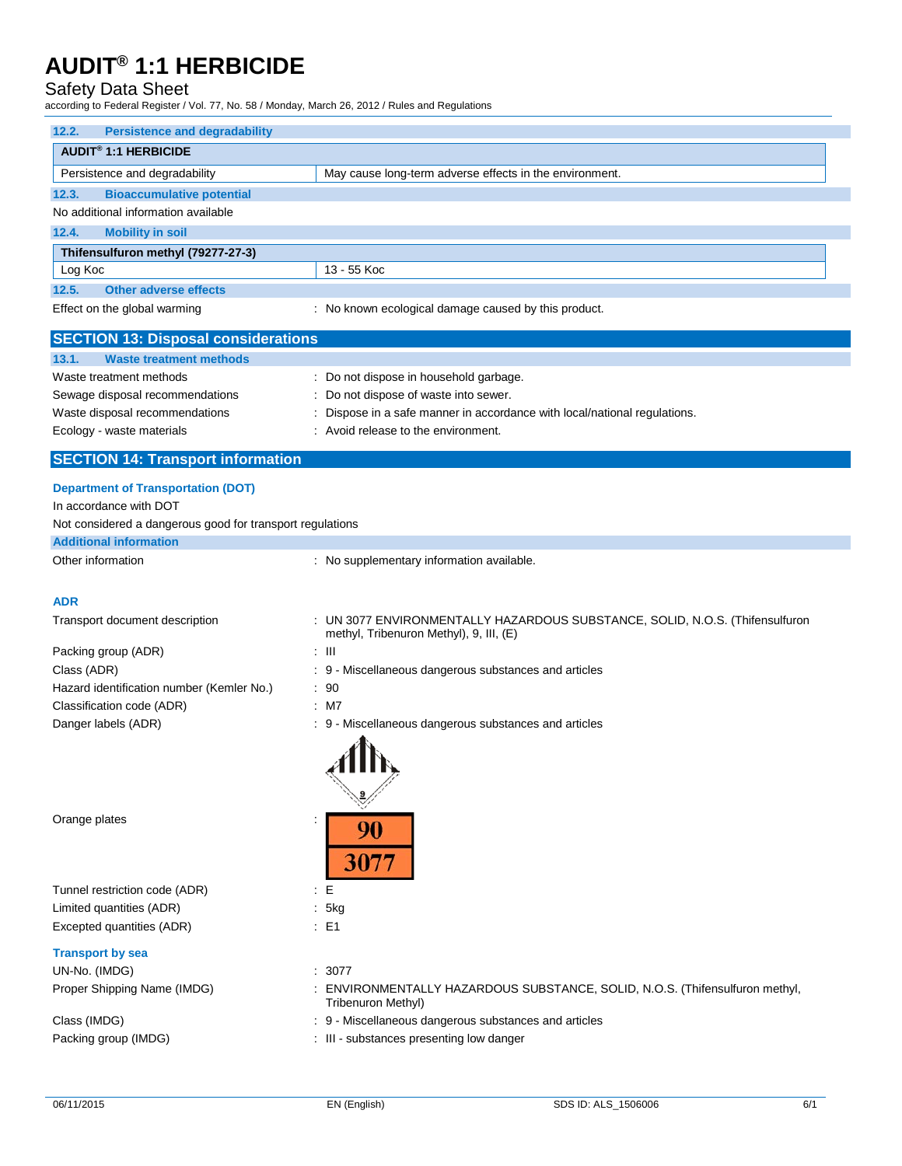## Safety Data Sheet

according to Federal Register / Vol. 77, No. 58 / Monday, March 26, 2012 / Rules and Regulations

| <b>Persistence and degradability</b><br>12.2.             |                                                                                                                         |
|-----------------------------------------------------------|-------------------------------------------------------------------------------------------------------------------------|
| <b>AUDIT<sup>®</sup> 1:1 HERBICIDE</b>                    |                                                                                                                         |
| Persistence and degradability                             | May cause long-term adverse effects in the environment.                                                                 |
| 12.3.<br><b>Bioaccumulative potential</b>                 |                                                                                                                         |
| No additional information available                       |                                                                                                                         |
| <b>Mobility in soil</b><br>12.4.                          |                                                                                                                         |
| Thifensulfuron methyl (79277-27-3)                        |                                                                                                                         |
| Log Koc                                                   | 13 - 55 Koc                                                                                                             |
| 12.5.<br><b>Other adverse effects</b>                     |                                                                                                                         |
| Effect on the global warming                              | : No known ecological damage caused by this product.                                                                    |
| <b>SECTION 13: Disposal considerations</b>                |                                                                                                                         |
| 13.1.<br><b>Waste treatment methods</b>                   |                                                                                                                         |
| Waste treatment methods                                   | : Do not dispose in household garbage.                                                                                  |
| Sewage disposal recommendations                           | : Do not dispose of waste into sewer.                                                                                   |
| Waste disposal recommendations                            | : Dispose in a safe manner in accordance with local/national regulations.                                               |
| Ecology - waste materials                                 | : Avoid release to the environment.                                                                                     |
| <b>SECTION 14: Transport information</b>                  |                                                                                                                         |
| <b>Department of Transportation (DOT)</b>                 |                                                                                                                         |
| In accordance with DOT                                    |                                                                                                                         |
| Not considered a dangerous good for transport regulations |                                                                                                                         |
| <b>Additional information</b>                             |                                                                                                                         |
| Other information                                         | : No supplementary information available.                                                                               |
|                                                           |                                                                                                                         |
| <b>ADR</b>                                                |                                                                                                                         |
| Transport document description                            | : UN 3077 ENVIRONMENTALLY HAZARDOUS SUBSTANCE, SOLID, N.O.S. (Thifensulfuron<br>methyl, Tribenuron Methyl), 9, III, (E) |
| Packing group (ADR)                                       | : III                                                                                                                   |
| Class (ADR)                                               | : 9 - Miscellaneous dangerous substances and articles                                                                   |
| Hazard identification number (Kemler No.)                 | : 90                                                                                                                    |
| Classification code (ADR)                                 | : M7                                                                                                                    |
| Danger labels (ADR)                                       | : 9 - Miscellaneous dangerous substances and articles                                                                   |
|                                                           |                                                                                                                         |
| Orange plates                                             | 30                                                                                                                      |
| Tunnel restriction code (ADR)                             | E                                                                                                                       |
| Limited quantities (ADR)                                  | : 5kg                                                                                                                   |
| Excepted quantities (ADR)                                 | : E1                                                                                                                    |
| <b>Transport by sea</b>                                   |                                                                                                                         |
| UN-No. (IMDG)                                             | : 3077                                                                                                                  |
| Proper Shipping Name (IMDG)                               | : ENVIRONMENTALLY HAZARDOUS SUBSTANCE, SOLID, N.O.S. (Thifensulfuron methyl,                                            |
|                                                           | Tribenuron Methyl)                                                                                                      |
| Class (IMDG)                                              | : 9 - Miscellaneous dangerous substances and articles                                                                   |
| Packing group (IMDG)                                      | : III - substances presenting low danger                                                                                |
|                                                           |                                                                                                                         |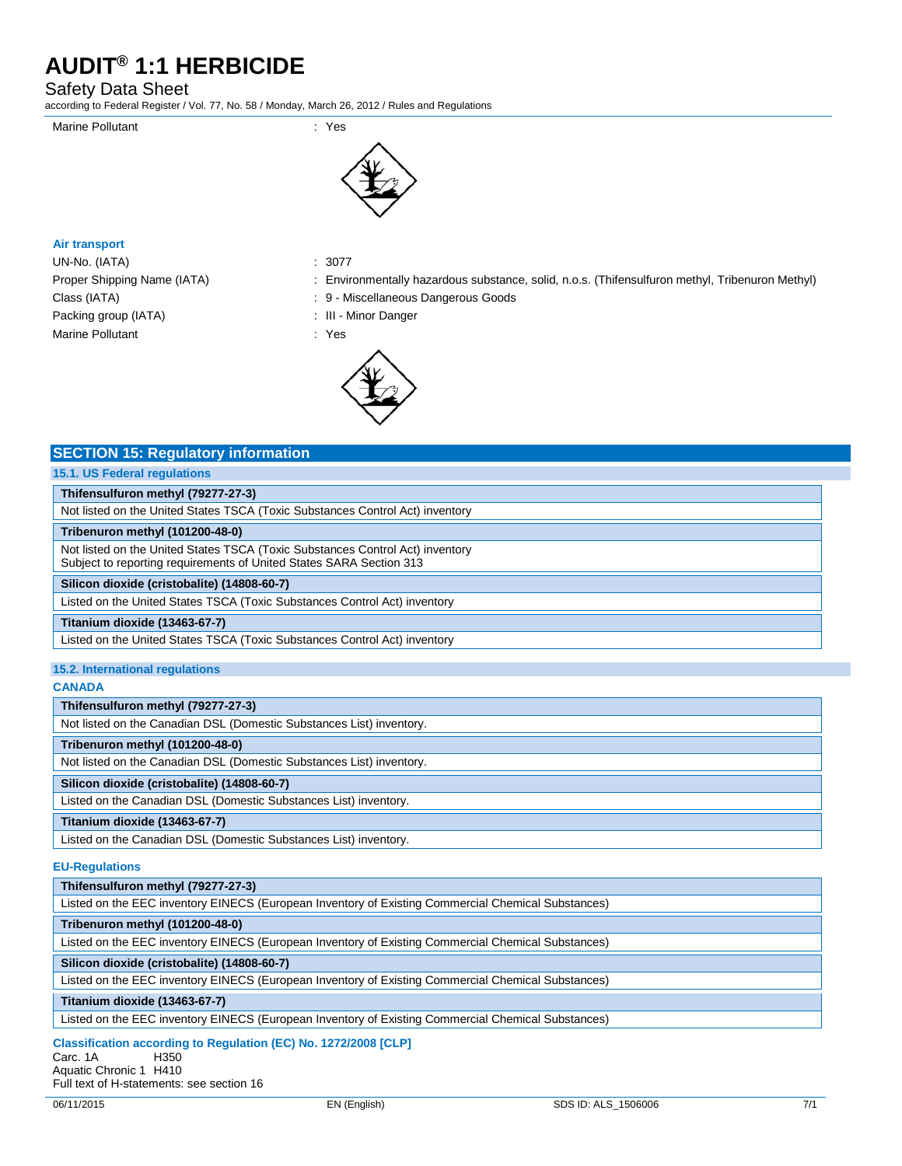## Safety Data Sheet

according to Federal Register / Vol. 77, No. 58 / Monday, March 26, 2012 / Rules and Regulations





## **Air transport**

UN-No. (IATA) : 3077 Packing group (IATA) : III - Minor Danger Marine Pollutant **in the State of Taylor State State State State State State State State State State State State State State State State State State State State State State State State State State State State State State S** 

**SECTION 15: Regulatory information**

- Proper Shipping Name (IATA) : Environmentally hazardous substance, solid, n.o.s. (Thifensulfuron methyl, Tribenuron Methyl)
- Class (IATA)  $\qquad \qquad : 9$  Miscellaneous Dangerous Goods
	-



| 15.1. US Federal regulations                                                                                                                         |
|------------------------------------------------------------------------------------------------------------------------------------------------------|
| Thifensulfuron methyl (79277-27-3)                                                                                                                   |
| Not listed on the United States TSCA (Toxic Substances Control Act) inventory                                                                        |
| Tribenuron methyl (101200-48-0)                                                                                                                      |
| Not listed on the United States TSCA (Toxic Substances Control Act) inventory<br>Subject to reporting requirements of United States SARA Section 313 |
| Silicon dioxide (cristobalite) (14808-60-7)                                                                                                          |
| Listed on the United States TSCA (Toxic Substances Control Act) inventory                                                                            |
| Titanium dioxide (13463-67-7)                                                                                                                        |
| Listed on the United States TSCA (Toxic Substances Control Act) inventory                                                                            |
| 15.2. International regulations                                                                                                                      |
| <b>CANADA</b>                                                                                                                                        |
| Thifensulfuron methyl (79277-27-3)                                                                                                                   |
| Not listed on the Canadian DSL (Domestic Substances List) inventory.                                                                                 |
| Tribenuron methyl (101200-48-0)                                                                                                                      |
| Not listed on the Canadian DSL (Domestic Substances List) inventory.                                                                                 |
| Silicon dioxide (cristobalite) (14808-60-7)                                                                                                          |

Listed on the Canadian DSL (Domestic Substances List) inventory.

Listed on the Canadian DSL (Domestic Substances List) inventory.

## **EU-Regulations**

**Titanium dioxide (13463-67-7)**

| LUTIUGUUUUIJ                                                                                       |
|----------------------------------------------------------------------------------------------------|
| Thifensulfuron methyl (79277-27-3)                                                                 |
| Listed on the EEC inventory EINECS (European Inventory of Existing Commercial Chemical Substances) |
| Tribenuron methyl (101200-48-0)                                                                    |
| Listed on the EEC inventory EINECS (European Inventory of Existing Commercial Chemical Substances) |
| Silicon dioxide (cristobalite) (14808-60-7)                                                        |
| Listed on the EEC inventory EINECS (European Inventory of Existing Commercial Chemical Substances) |
| Titanium dioxide (13463-67-7)                                                                      |
| isted on the FEC inventory FINECS (Furonean Inventory of Existing Commercial Chemical Substances)  |

Listed on the EEC inventory EINECS (European Inventory of Existing Commercial Chemical Substances)

## **Classification according to Regulation (EC) No. 1272/2008 [CLP]**

Carc. 1A Aquatic Chronic 1 H410

Full text of H-statements: see section 16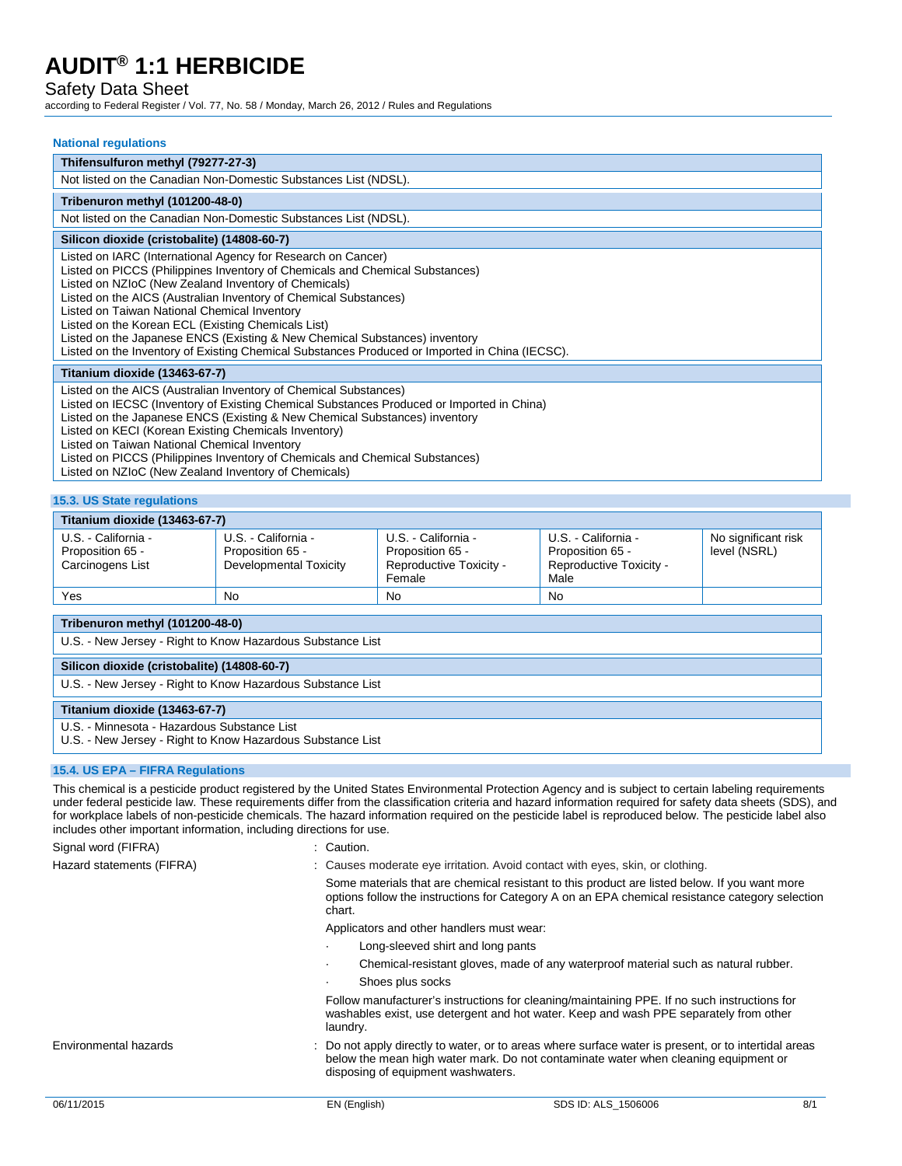## Safety Data Sheet

according to Federal Register / Vol. 77, No. 58 / Monday, March 26, 2012 / Rules and Regulations

| <b>National regulations</b>                                                                                                                                                                                                                                                                                                                                                                                                                                                                                                                                    |
|----------------------------------------------------------------------------------------------------------------------------------------------------------------------------------------------------------------------------------------------------------------------------------------------------------------------------------------------------------------------------------------------------------------------------------------------------------------------------------------------------------------------------------------------------------------|
| Thifensulfuron methyl (79277-27-3)                                                                                                                                                                                                                                                                                                                                                                                                                                                                                                                             |
| Not listed on the Canadian Non-Domestic Substances List (NDSL).                                                                                                                                                                                                                                                                                                                                                                                                                                                                                                |
| Tribenuron methyl (101200-48-0)                                                                                                                                                                                                                                                                                                                                                                                                                                                                                                                                |
| Not listed on the Canadian Non-Domestic Substances List (NDSL).                                                                                                                                                                                                                                                                                                                                                                                                                                                                                                |
| Silicon dioxide (cristobalite) (14808-60-7)                                                                                                                                                                                                                                                                                                                                                                                                                                                                                                                    |
| Listed on IARC (International Agency for Research on Cancer)<br>Listed on PICCS (Philippines Inventory of Chemicals and Chemical Substances)<br>Listed on NZIoC (New Zealand Inventory of Chemicals)<br>Listed on the AICS (Australian Inventory of Chemical Substances)<br>Listed on Taiwan National Chemical Inventory<br>Listed on the Korean ECL (Existing Chemicals List)<br>Listed on the Japanese ENCS (Existing & New Chemical Substances) inventory<br>Listed on the Inventory of Existing Chemical Substances Produced or Imported in China (IECSC). |
| Titanium dioxide (13463-67-7)                                                                                                                                                                                                                                                                                                                                                                                                                                                                                                                                  |
| Listed on the AICS (Australian Inventory of Chemical Substances)<br>Listed on IECSC (Inventory of Existing Chemical Substances Produced or Imported in China)<br>Listed on the Japanese ENCS (Existing & New Chemical Substances) inventory<br>Listed on KECI (Korean Existing Chemicals Inventory)<br>Listed on Taiwan National Chemical Inventory<br>Listed on PICCS (Philippines Inventory of Chemicals and Chemical Substances)<br>Listed on NZIoC (New Zealand Inventory of Chemicals)                                                                    |

## **15.3. US State regulations**

| Titanium dioxide (13463-67-7)                               |                                                                   |                                                                              |                                                                            |                                     |  |  |
|-------------------------------------------------------------|-------------------------------------------------------------------|------------------------------------------------------------------------------|----------------------------------------------------------------------------|-------------------------------------|--|--|
| U.S. - California -<br>Proposition 65 -<br>Carcinogens List | U.S. - California -<br>Proposition 65 -<br>Developmental Toxicity | U.S. - California -<br>Proposition 65 -<br>Reproductive Toxicity -<br>Female | U.S. - California -<br>Proposition 65 -<br>Reproductive Toxicity -<br>Male | No significant risk<br>level (NSRL) |  |  |
| Yes                                                         | No.                                                               | <b>No</b>                                                                    | <b>No</b>                                                                  |                                     |  |  |
|                                                             |                                                                   |                                                                              |                                                                            |                                     |  |  |

## **Tribenuron methyl (101200-48-0)**

U.S. - New Jersey - Right to Know Hazardous Substance List

## **Silicon dioxide (cristobalite) (14808-60-7)**

U.S. - New Jersey - Right to Know Hazardous Substance List

## **Titanium dioxide (13463-67-7)**

U.S. - Minnesota - Hazardous Substance List

U.S. - New Jersey - Right to Know Hazardous Substance List

### **15.4. US EPA – FIFRA Regulations**

This chemical is a pesticide product registered by the United States Environmental Protection Agency and is subject to certain labeling requirements under federal pesticide law. These requirements differ from the classification criteria and hazard information required for safety data sheets (SDS), and for workplace labels of non-pesticide chemicals. The hazard information required on the pesticide label is reproduced below. The pesticide label also includes other important information, including directions for use.

Signal word (FIFRA) : Caution. Hazard statements (FIFRA) : Causes moderate eye irritation. Avoid contact with eyes, skin, or clothing. Some materials that are chemical resistant to this product are listed below. If you want more options follow the instructions for Category A on an EPA chemical resistance category selection chart. Applicators and other handlers must wear: Long-sleeved shirt and long pants · Chemical-resistant gloves, made of any waterproof material such as natural rubber. Shoes plus socks Follow manufacturer's instructions for cleaning/maintaining PPE. If no such instructions for washables exist, use detergent and hot water. Keep and wash PPE separately from other laundry. Environmental hazards : Do not apply directly to water, or to areas where surface water is present, or to intertidal areas below the mean high water mark. Do not contaminate water when cleaning equipment or disposing of equipment washwaters. 06/11/2015 **EN (English)** EN (English) SDS ID: ALS 1506006 8/1